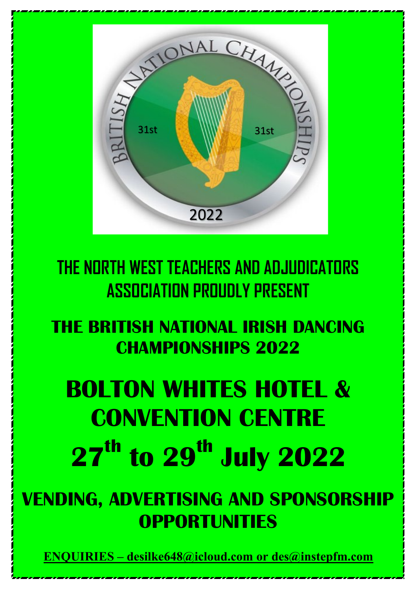

**THE NORTH WEST TEACHERS AND ADJUDICATORS ASSOCIATION PROUDLY PRESENT**

**THE BRITISH NATIONAL IRISH DANCING CHAMPIONSHIPS 2022**

## **BOLTON WHITES HOTEL & CONVENTION CENTRE 27<sup>th</sup> to 29<sup>th</sup> July 2022**

**VENDING, ADVERTISING AND SPONSORSHIP OPPORTUNITIES**

**[ENQUIRIES – desilke648@icloud.com or des@instepfm.com](mailto:desilke648@icloud.com)**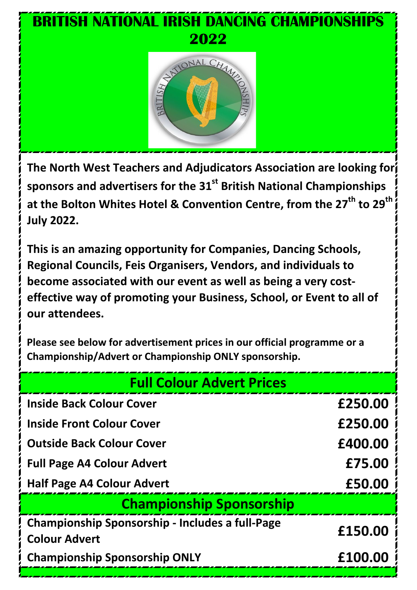# **BRITISH NATIONAL IRISH DANCING CHAMPIONSHIPS 2022** ONAL CHAN

**The North West Teachers and Adjudicators Association are looking for sponsors and advertisers for the 31st British National Championships**  at the Bolton Whites Hotel & Convention Centre, from the 27<sup>th</sup> to 29<sup>th</sup> **July 2022.**

**This is an amazing opportunity for Companies, Dancing Schools, Regional Councils, Feis Organisers, Vendors, and individuals to become associated with our event as well as being a very costeffective way of promoting your Business, School, or Event to all of our attendees.**

**Please see below for advertisement prices in our official programme or a Championship/Advert or Championship ONLY sponsorship.**

| <b>Full Colour Advert Prices</b>                       |         |  |
|--------------------------------------------------------|---------|--|
| <b>Inside Back Colour Cover</b>                        | £250.00 |  |
| <b>Inside Front Colour Cover</b>                       | £250.00 |  |
| <b>Outside Back Colour Cover</b>                       | £400.00 |  |
| <b>Full Page A4 Colour Advert</b>                      | £75.00  |  |
| <b>Half Page A4 Colour Advert</b>                      | £50.00  |  |
| <b>Championship Sponsorship</b>                        |         |  |
| <b>Championship Sponsorship - Includes a full-Page</b> | £150.00 |  |
| <b>Colour Advert</b>                                   |         |  |
| <b>Championship Sponsorship ONLY</b>                   | £100.00 |  |
|                                                        |         |  |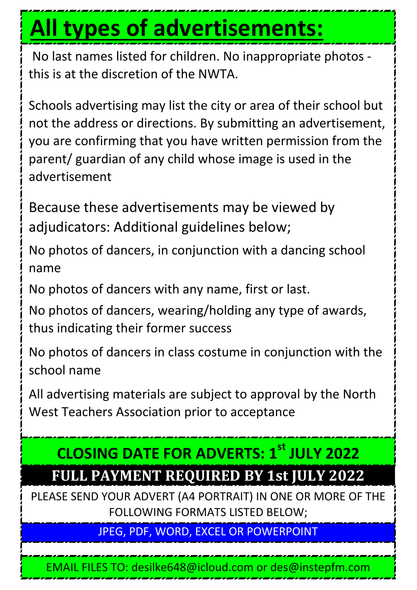### **All types of advertisements:**

No last names listed for children. No inappropriate photos this is at the discretion of the NWTA.

Schools advertising may list the city or area of their school but not the address or directions. By submitting an advertisement, you are confirming that you have written permission from the parent/ guardian of any child whose image is used in the advertisement

Because these advertisements may be viewed by adjudicators: Additional guidelines below;

No photos of dancers, in conjunction with a dancing school name

No photos of dancers with any name, first or last.

No photos of dancers, wearing/holding any type of awards, thus indicating their former success

No photos of dancers in class costume in conjunction with the school name

All advertising materials are subject to approval by the North West Teachers Association prior to acceptance

#### **CLOSING DATE FOR ADVERTS: 1st JULY 2022 FULL PAYMENT REQUIRED BY 1st JULY 2022**

PLEASE SEND YOUR ADVERT (A4 PORTRAIT) IN ONE OR MORE OF THE FOLLOWING FORMATS LISTED BELOW;

JPEG, PDF, WORD, EXCEL OR POWERPOINT

EMAIL FILES TO: desilke648@icloud.com or des@instepfm.com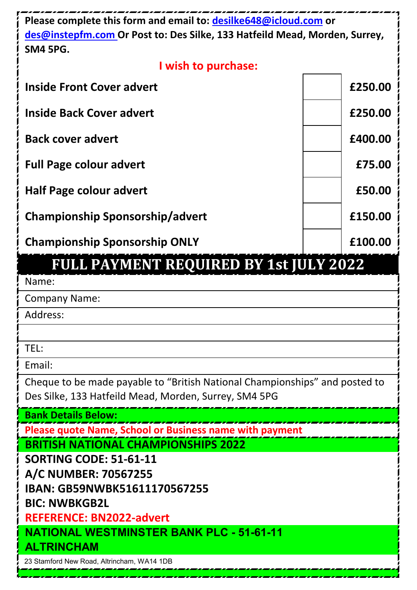| Please complete this form and email to: desilke648@icloud.com or<br>des@instepfm.com Or Post to: Des Silke, 133 Hatfeild Mead, Morden, Surrey,<br><b>SM4 5PG.</b> |         |  |
|-------------------------------------------------------------------------------------------------------------------------------------------------------------------|---------|--|
| I wish to purchase:                                                                                                                                               |         |  |
| <b>Inside Front Cover advert</b>                                                                                                                                  | £250.00 |  |
| <b>Inside Back Cover advert</b>                                                                                                                                   | £250.00 |  |
| <b>Back cover advert</b>                                                                                                                                          | £400.00 |  |
| <b>Full Page colour advert</b>                                                                                                                                    | £75.00  |  |
| <b>Half Page colour advert</b>                                                                                                                                    | £50.00  |  |
| <b>Championship Sponsorship/advert</b>                                                                                                                            | £150.00 |  |
| <b>Championship Sponsorship ONLY</b>                                                                                                                              | £100.00 |  |
| FULL PAYMENT REQUIRED BY 1st JULY 2022                                                                                                                            |         |  |
| Name:                                                                                                                                                             |         |  |
| <b>Company Name:</b>                                                                                                                                              |         |  |
| Address:                                                                                                                                                          |         |  |
|                                                                                                                                                                   |         |  |
| TEL:                                                                                                                                                              |         |  |
| Email:                                                                                                                                                            |         |  |
| Cheque to be made payable to "British National Championships" and posted to<br>Des Silke, 133 Hatfeild Mead, Morden, Surrey, SM4 5PG                              |         |  |
| <b>Bank Details Below:</b>                                                                                                                                        |         |  |
| <b>Please quote Name, School or Business name with payment</b>                                                                                                    |         |  |
| <b>BRITISH NATIONAL CHAMPIONSHIPS 2022</b>                                                                                                                        |         |  |
| <b>SORTING CODE: 51-61-11</b>                                                                                                                                     |         |  |
| A/C NUMBER: 70567255<br>IBAN: GB59NWBK51611170567255                                                                                                              |         |  |
| <b>BIC: NWBKGB2L</b>                                                                                                                                              |         |  |
| <b>REFERENCE: BN2022-advert</b>                                                                                                                                   |         |  |
| <b>NATIONAL WESTMINSTER BANK PLC - 51-61-11</b>                                                                                                                   |         |  |
| <b>ALTRINCHAM</b>                                                                                                                                                 |         |  |
| 23 Stamford New Road, Altrincham, WA14 1DB                                                                                                                        |         |  |